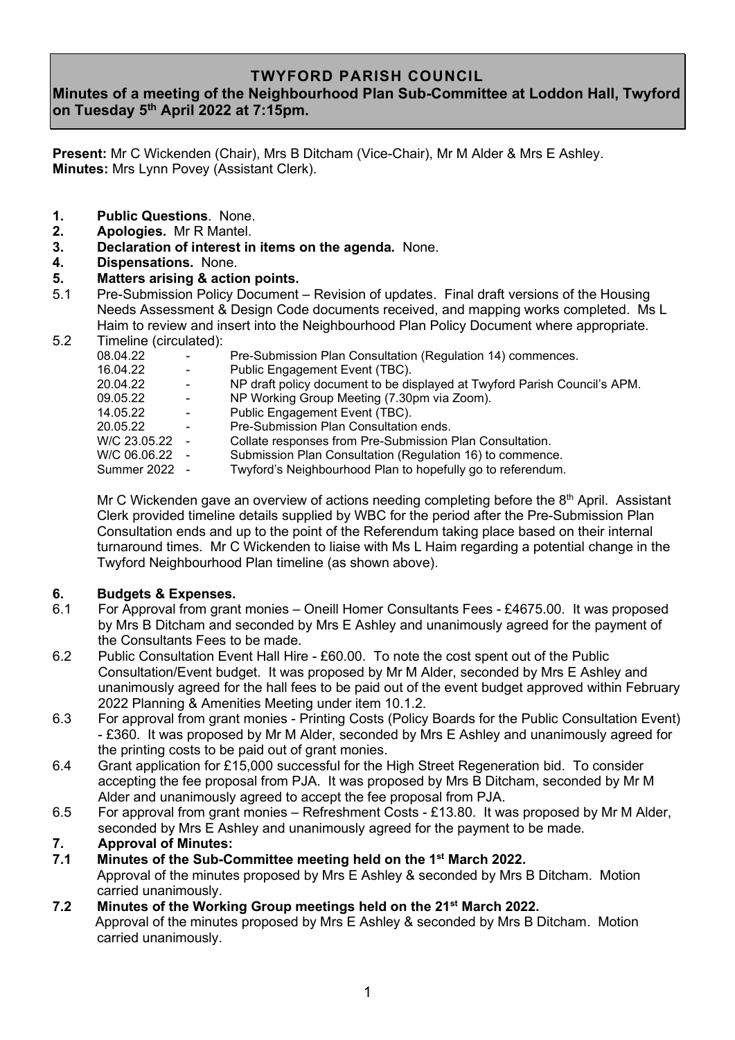### **TWYFORD PARISH COUNCIL**

## **Minutes of a meeting of the Neighbourhood Plan Sub-Committee at Loddon Hall, Twyford on Tuesday 5 th April 2022 at 7:15pm.**

**Present:** Mr C Wickenden (Chair), Mrs B Ditcham (Vice-Chair), Mr M Alder & Mrs E Ashley. **Minutes:** Mrs Lynn Povey (Assistant Clerk).

- **1. Public Questions**. None.
- **2. Apologies.** Mr R Mantel.
- **3. Declaration of interest in items on the agenda.** None.
- **4. Dispensations.** None.
- **5. Matters arising & action points.**
- 5.1 Pre-Submission Policy Document Revision of updates. Final draft versions of the Housing Needs Assessment & Design Code documents received, and mapping works completed. Ms L Haim to review and insert into the Neighbourhood Plan Policy Document where appropriate.
- 5.2 Timeline (circulated):

| 08.04.22       | $\overline{\phantom{a}}$ | Pre-Submission Plan Consultation (Regulation 14) commences.               |
|----------------|--------------------------|---------------------------------------------------------------------------|
| 16.04.22       |                          | Public Engagement Event (TBC).                                            |
| 20.04.22       | $\blacksquare$           | NP draft policy document to be displayed at Twyford Parish Council's APM. |
| 09.05.22       | $\blacksquare$           | NP Working Group Meeting (7.30pm via Zoom).                               |
| 14.05.22       | $\overline{\phantom{a}}$ | Public Engagement Event (TBC).                                            |
| 20.05.22       | ۰                        | Pre-Submission Plan Consultation ends.                                    |
| W/C 23.05.22 - |                          | Collate responses from Pre-Submission Plan Consultation.                  |
| W/C 06.06.22 - |                          | Submission Plan Consultation (Regulation 16) to commence.                 |
| Summer 2022 -  |                          | Twyford's Neighbourhood Plan to hopefully go to referendum.               |
|                |                          |                                                                           |

Mr C Wickenden gave an overview of actions needing completing before the  $8<sup>th</sup>$  April. Assistant Clerk provided timeline details supplied by WBC for the period after the Pre-Submission Plan Consultation ends and up to the point of the Referendum taking place based on their internal turnaround times. Mr C Wickenden to liaise with Ms L Haim regarding a potential change in the Twyford Neighbourhood Plan timeline (as shown above).

# **6. Budgets & Expenses.**

- 6.1 For Approval from grant monies Oneill Homer Consultants Fees £4675.00. It was proposed by Mrs B Ditcham and seconded by Mrs E Ashley and unanimously agreed for the payment of the Consultants Fees to be made.
- 6.2 Public Consultation Event Hall Hire £60.00. To note the cost spent out of the Public Consultation/Event budget. It was proposed by Mr M Alder, seconded by Mrs E Ashley and unanimously agreed for the hall fees to be paid out of the event budget approved within February 2022 Planning & Amenities Meeting under item 10.1.2.
- 6.3 For approval from grant monies Printing Costs (Policy Boards for the Public Consultation Event) - £360. It was proposed by Mr M Alder, seconded by Mrs E Ashley and unanimously agreed for the printing costs to be paid out of grant monies.
- 6.4 Grant application for £15,000 successful for the High Street Regeneration bid. To consider accepting the fee proposal from PJA. It was proposed by Mrs B Ditcham, seconded by Mr M Alder and unanimously agreed to accept the fee proposal from PJA.
- 6.5 For approval from grant monies Refreshment Costs £13.80. It was proposed by Mr M Alder, seconded by Mrs E Ashley and unanimously agreed for the payment to be made.

## **7. Approval of Minutes:**

- **7.1 Minutes of the Sub-Committee meeting held on the 1 st March 2022.** Approval of the minutes proposed by Mrs E Ashley & seconded by Mrs B Ditcham. Motion carried unanimously.
- **7.2 Minutes of the Working Group meetings held on the 21st March 2022.** Approval of the minutes proposed by Mrs E Ashley & seconded by Mrs B Ditcham. Motion carried unanimously.